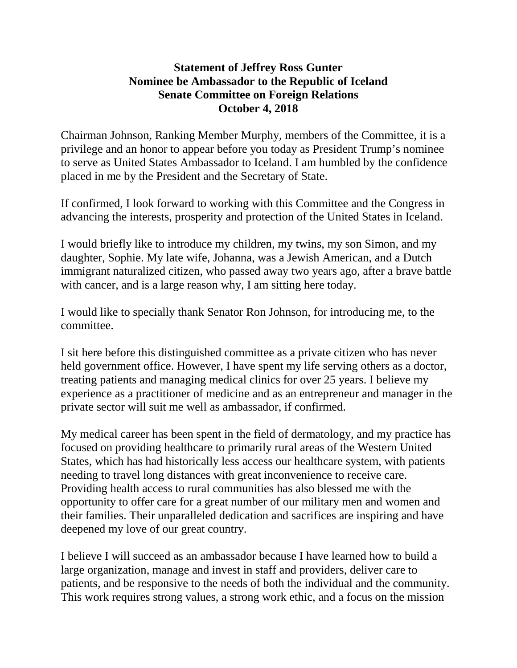## **Statement of Jeffrey Ross Gunter Nominee be Ambassador to the Republic of Iceland Senate Committee on Foreign Relations October 4, 2018**

Chairman Johnson, Ranking Member Murphy, members of the Committee, it is a privilege and an honor to appear before you today as President Trump's nominee to serve as United States Ambassador to Iceland. I am humbled by the confidence placed in me by the President and the Secretary of State.

If confirmed, I look forward to working with this Committee and the Congress in advancing the interests, prosperity and protection of the United States in Iceland.

I would briefly like to introduce my children, my twins, my son Simon, and my daughter, Sophie. My late wife, Johanna, was a Jewish American, and a Dutch immigrant naturalized citizen, who passed away two years ago, after a brave battle with cancer, and is a large reason why, I am sitting here today.

I would like to specially thank Senator Ron Johnson, for introducing me, to the committee.

I sit here before this distinguished committee as a private citizen who has never held government office. However, I have spent my life serving others as a doctor, treating patients and managing medical clinics for over 25 years. I believe my experience as a practitioner of medicine and as an entrepreneur and manager in the private sector will suit me well as ambassador, if confirmed.

My medical career has been spent in the field of dermatology, and my practice has focused on providing healthcare to primarily rural areas of the Western United States, which has had historically less access our healthcare system, with patients needing to travel long distances with great inconvenience to receive care. Providing health access to rural communities has also blessed me with the opportunity to offer care for a great number of our military men and women and their families. Their unparalleled dedication and sacrifices are inspiring and have deepened my love of our great country.

I believe I will succeed as an ambassador because I have learned how to build a large organization, manage and invest in staff and providers, deliver care to patients, and be responsive to the needs of both the individual and the community. This work requires strong values, a strong work ethic, and a focus on the mission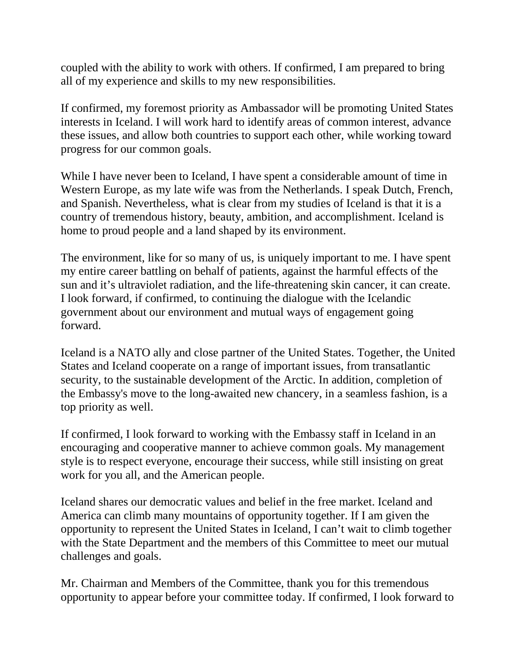coupled with the ability to work with others. If confirmed, I am prepared to bring all of my experience and skills to my new responsibilities.

If confirmed, my foremost priority as Ambassador will be promoting United States interests in Iceland. I will work hard to identify areas of common interest, advance these issues, and allow both countries to support each other, while working toward progress for our common goals.

While I have never been to Iceland, I have spent a considerable amount of time in Western Europe, as my late wife was from the Netherlands. I speak Dutch, French, and Spanish. Nevertheless, what is clear from my studies of Iceland is that it is a country of tremendous history, beauty, ambition, and accomplishment. Iceland is home to proud people and a land shaped by its environment.

The environment, like for so many of us, is uniquely important to me. I have spent my entire career battling on behalf of patients, against the harmful effects of the sun and it's ultraviolet radiation, and the life-threatening skin cancer, it can create. I look forward, if confirmed, to continuing the dialogue with the Icelandic government about our environment and mutual ways of engagement going forward.

Iceland is a NATO ally and close partner of the United States. Together, the United States and Iceland cooperate on a range of important issues, from transatlantic security, to the sustainable development of the Arctic. In addition, completion of the Embassy's move to the long-awaited new chancery, in a seamless fashion, is a top priority as well.

If confirmed, I look forward to working with the Embassy staff in Iceland in an encouraging and cooperative manner to achieve common goals. My management style is to respect everyone, encourage their success, while still insisting on great work for you all, and the American people.

Iceland shares our democratic values and belief in the free market. Iceland and America can climb many mountains of opportunity together. If I am given the opportunity to represent the United States in Iceland, I can't wait to climb together with the State Department and the members of this Committee to meet our mutual challenges and goals.

Mr. Chairman and Members of the Committee, thank you for this tremendous opportunity to appear before your committee today. If confirmed, I look forward to